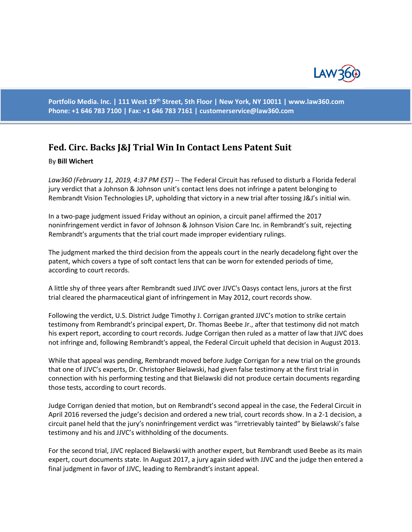

**Portfolio Media. Inc. | 111 West 19th Street, 5th Floor | New York, NY 10011 | www.law360.com Phone: +1 646 783 7100 | Fax: +1 646 783 7161 | [customerservice@law360.com](mailto:customerservice@law360.com)**

## **Fed. Circ. Backs J&J Trial Win In Contact Lens Patent Suit**

## By **Bill Wichert**

*Law360 (February 11, 2019, 4:37 PM EST)* -- The Federal Circuit has refused to disturb a Florida federal jury verdict that a Johnson & Johnson unit's contact lens does not infringe a patent belonging to Rembrandt Vision Technologies LP, upholding that victory in a new trial after tossing J&J's initial win.

In a two-page judgment issued Friday without an opinion, a circuit panel affirmed the 2017 noninfringement verdict in favor of Johnson & Johnson Vision Care Inc. in Rembrandt's suit, rejecting Rembrandt's arguments that the trial court made improper evidentiary rulings.

The judgment marked the third decision from the appeals court in the nearly decadelong fight over the patent, which covers a type of soft contact lens that can be worn for extended periods of time, according to court records.

A little shy of three years after Rembrandt sued JJVC over JJVC's Oasys contact lens, jurors at the first trial cleared the pharmaceutical giant of infringement in May 2012, court records show.

Following the verdict, U.S. District Judge Timothy J. Corrigan granted JJVC's motion to strike certain testimony from Rembrandt's principal expert, Dr. Thomas Beebe Jr., after that testimony did not match his expert report, according to court records. Judge Corrigan then ruled as a matter of law that JJVC does not infringe and, following Rembrandt's appeal, the Federal Circuit upheld that decision in August 2013.

While that appeal was pending, Rembrandt moved before Judge Corrigan for a new trial on the grounds that one of JJVC's experts, Dr. Christopher Bielawski, had given false testimony at the first trial in connection with his performing testing and that Bielawski did not produce certain documents regarding those tests, according to court records.

Judge Corrigan denied that motion, but on Rembrandt's second appeal in the case, the Federal Circuit in April 2016 reversed the judge's decision and ordered a new trial, court records show. In a 2-1 decision, a circuit panel held that the jury's noninfringement verdict was "irretrievably tainted" by Bielawski's false testimony and his and JJVC's withholding of the documents.

For the second trial, JJVC replaced Bielawski with another expert, but Rembrandt used Beebe as its main expert, court documents state. In August 2017, a jury again sided with JJVC and the judge then entered a final judgment in favor of JJVC, leading to Rembrandt's instant appeal.